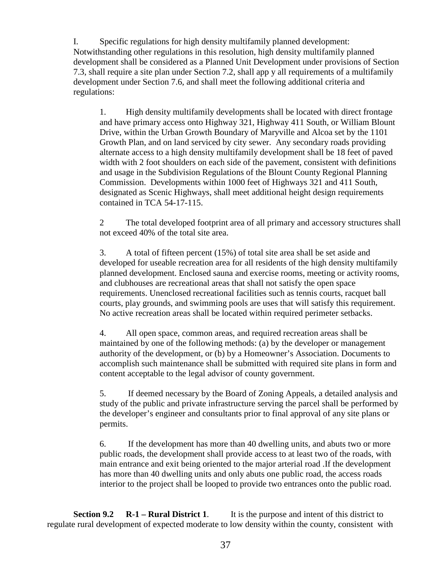I. Specific regulations for high density multifamily planned development: Notwithstanding other regulations in this resolution, high density multifamily planned development shall be considered as a Planned Unit Development under provisions of Section 7.3, shall require a site plan under Section 7.2, shall app y all requirements of a multifamily development under Section 7.6, and shall meet the following additional criteria and regulations:

1. High density multifamily developments shall be located with direct frontage and have primary access onto Highway 321, Highway 411 South, or William Blount Drive, within the Urban Growth Boundary of Maryville and Alcoa set by the 1101 Growth Plan, and on land serviced by city sewer. Any secondary roads providing alternate access to a high density multifamily development shall be 18 feet of paved width with 2 foot shoulders on each side of the pavement, consistent with definitions and usage in the Subdivision Regulations of the Blount County Regional Planning Commission. Developments within 1000 feet of Highways 321 and 411 South, designated as Scenic Highways, shall meet additional height design requirements contained in TCA 54-17-115.

2 The total developed footprint area of all primary and accessory structures shall not exceed 40% of the total site area.

3. A total of fifteen percent (15%) of total site area shall be set aside and developed for useable recreation area for all residents of the high density multifamily planned development. Enclosed sauna and exercise rooms, meeting or activity rooms, and clubhouses are recreational areas that shall not satisfy the open space requirements. Unenclosed recreational facilities such as tennis courts, racquet ball courts, play grounds, and swimming pools are uses that will satisfy this requirement. No active recreation areas shall be located within required perimeter setbacks.

4. All open space, common areas, and required recreation areas shall be maintained by one of the following methods: (a) by the developer or management authority of the development, or (b) by a Homeowner's Association. Documents to accomplish such maintenance shall be submitted with required site plans in form and content acceptable to the legal advisor of county government.

5. If deemed necessary by the Board of Zoning Appeals, a detailed analysis and study of the public and private infrastructure serving the parcel shall be performed by the developer's engineer and consultants prior to final approval of any site plans or permits.

6. If the development has more than 40 dwelling units, and abuts two or more public roads, the development shall provide access to at least two of the roads, with main entrance and exit being oriented to the major arterial road .If the development has more than 40 dwelling units and only abuts one public road, the access roads interior to the project shall be looped to provide two entrances onto the public road.

**Section 9.2 R-1 – Rural District 1**. It is the purpose and intent of this district to regulate rural development of expected moderate to low density within the county, consistent with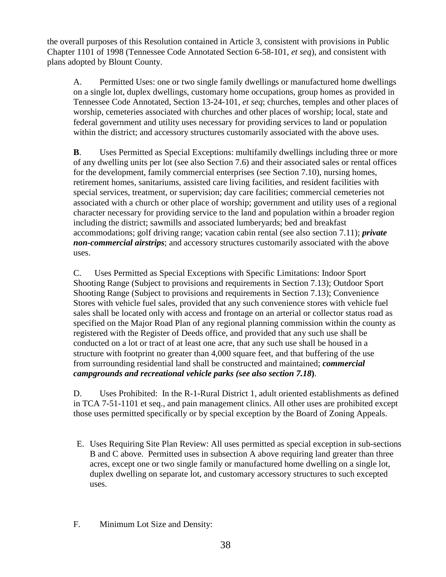the overall purposes of this Resolution contained in Article 3, consistent with provisions in Public Chapter 1101 of 1998 (Tennessee Code Annotated Section 6-58-101, *et seq*), and consistent with plans adopted by Blount County.

A. Permitted Uses: one or two single family dwellings or manufactured home dwellings on a single lot, duplex dwellings, customary home occupations, group homes as provided in Tennessee Code Annotated, Section 13-24-101, *et seq*; churches, temples and other places of worship, cemeteries associated with churches and other places of worship; local, state and federal government and utility uses necessary for providing services to land or population within the district; and accessory structures customarily associated with the above uses.

**B.** Uses Permitted as Special Exceptions: multifamily dwellings including three or more of any dwelling units per lot (see also Section 7.6) and their associated sales or rental offices for the development, family commercial enterprises (see Section 7.10), nursing homes, retirement homes, sanitariums, assisted care living facilities, and resident facilities with special services, treatment, or supervision; day care facilities; commercial cemeteries not associated with a church or other place of worship; government and utility uses of a regional character necessary for providing service to the land and population within a broader region including the district; sawmills and associated lumberyards; bed and breakfast accommodations; golf driving range; vacation cabin rental (see also section 7.11); *private non-commercial airstrips*; and accessory structures customarily associated with the above uses.

C. Uses Permitted as Special Exceptions with Specific Limitations: Indoor Sport Shooting Range (Subject to provisions and requirements in Section 7.13); Outdoor Sport Shooting Range (Subject to provisions and requirements in Section 7.13); Convenience Stores with vehicle fuel sales, provided that any such convenience stores with vehicle fuel sales shall be located only with access and frontage on an arterial or collector status road as specified on the Major Road Plan of any regional planning commission within the county as registered with the Register of Deeds office, and provided that any such use shall be conducted on a lot or tract of at least one acre, that any such use shall be housed in a structure with footprint no greater than 4,000 square feet, and that buffering of the use from surrounding residential land shall be constructed and maintained; *commercial campgrounds and recreational vehicle parks (see also section 7.18***)**.

D. Uses Prohibited: In the R-1-Rural District 1, adult oriented establishments as defined in TCA 7-51-1101 et seq., and pain management clinics. All other uses are prohibited except those uses permitted specifically or by special exception by the Board of Zoning Appeals.

- E. Uses Requiring Site Plan Review: All uses permitted as special exception in sub-sections B and C above. Permitted uses in subsection A above requiring land greater than three acres, except one or two single family or manufactured home dwelling on a single lot, duplex dwelling on separate lot, and customary accessory structures to such excepted uses.
- F. Minimum Lot Size and Density: